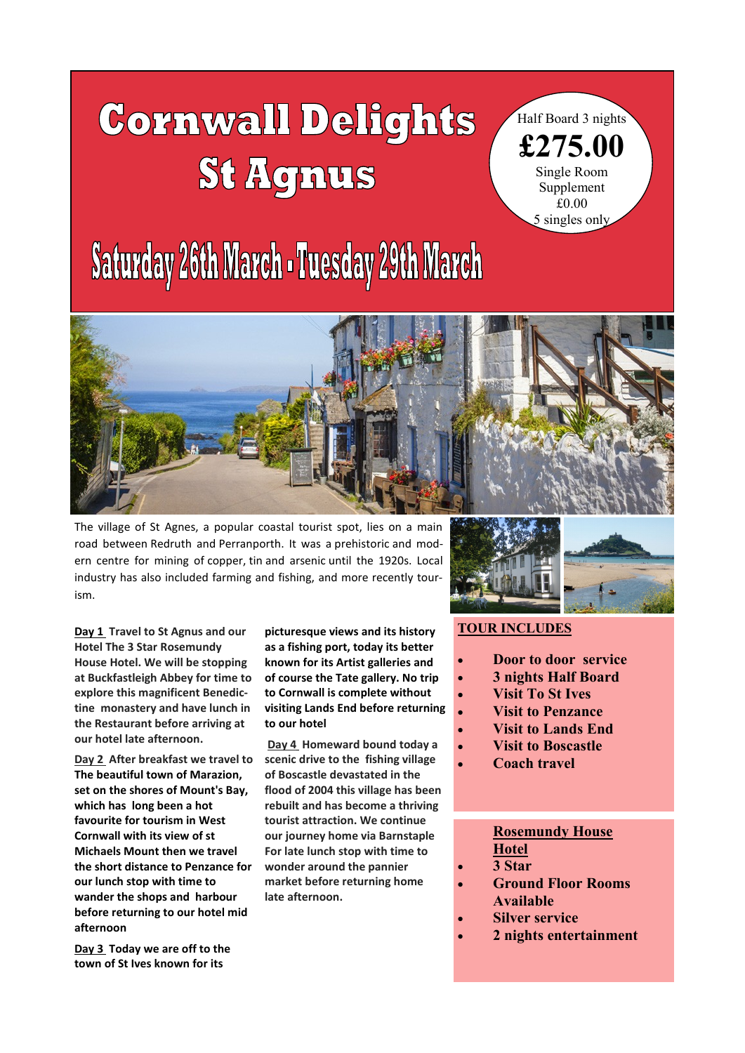# $\overline{\phantom{a}}$ **St Agnus**

Half Board 3 nights **£275.00** Single Room Supplement £0.00 5 singles only

## **Saturday 26th March - Tuesday 29th March**



The village of St Agnes, a popular coastal tourist spot, lies on a main road between [Redruth](http://en.wikipedia.org/wiki/Redruth) and [Perranporth.](http://en.wikipedia.org/wiki/Perranporth) It was a [prehistoric](http://en.wikipedia.org/wiki/Prehistoric) and modern centre for mining of [copper,](http://en.wikipedia.org/wiki/Copper) [tin](http://en.wikipedia.org/wiki/Tin) and [arsenic](http://en.wikipedia.org/wiki/Arsenic) until the 1920s. Local industry has also included farming and fishing, and more recently tourism.

**Day 1 Travel to St Agnus and our Hotel The 3 Star Rosemundy House Hotel. We will be stopping at Buckfastleigh Abbey for time to explore this magnificent Benedictine monastery and have lunch in the Restaurant before arriving at our hotel late afternoon.**

**Day 2 After breakfast we travel to The beautiful town of Marazion, set on the shores of Mount's Bay, which has long been a hot favourite for tourism in West Cornwall with its view of st Michaels Mount then we travel the short distance to Penzance for our lunch stop with time to wander the shops and harbour before returning to our hotel mid afternoon**

**Day 3 Today we are off to the town of St Ives known for its** 

**picturesque views and its history as a fishing port, today its better known for its Artist galleries and of course the Tate gallery. No trip to Cornwall is complete without visiting Lands End before returning to our hotel**

**Day 4 Homeward bound today a scenic drive to the fishing village of Boscastle devastated in the flood of 2004 this village has been rebuilt and has become a thriving tourist attraction. We continue our journey home via Barnstaple For late lunch stop with time to wonder around the pannier market before returning home late afternoon.**



### **TOUR INCLUDES**

- **Door to door service**
- **3 nights Half Board**
- **Visit To St Ives**
- **Visit to Penzance**
- **Visit to Lands End**
- **Visit to Boscastle**
- **Coach travel**

#### **Rosemundy House Hotel**

- **3 Star**
- **Ground Floor Rooms Available**
- **Silver service**
- **2 nights entertainment**